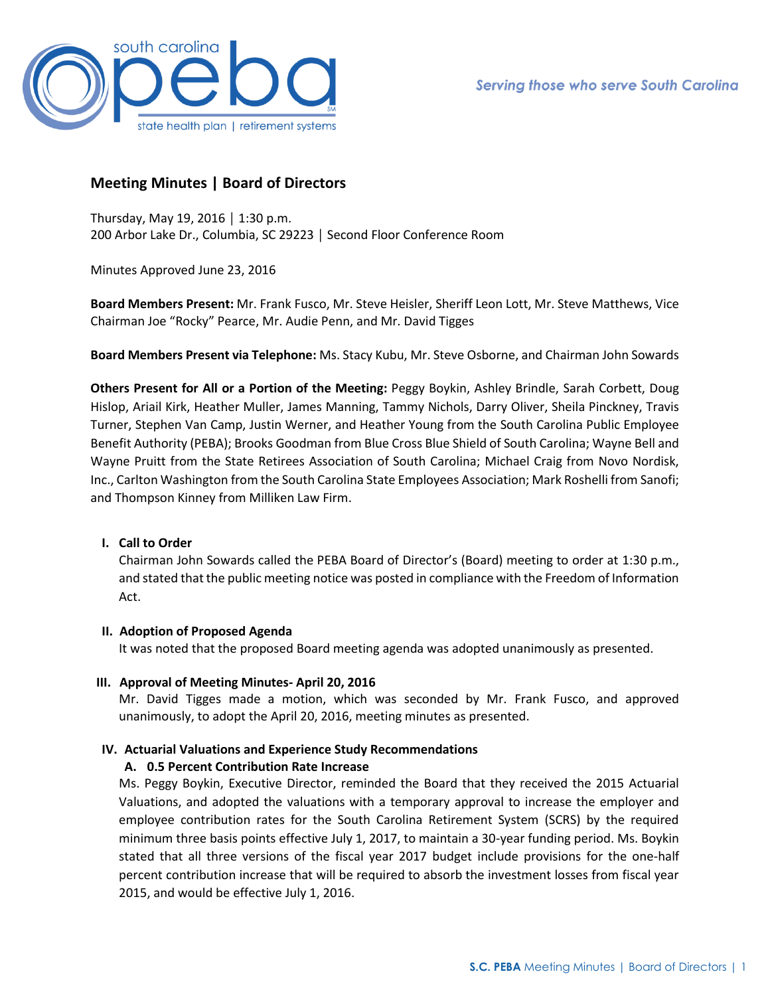

# **Meeting Minutes | Board of Directors**

Thursday, May 19, 2016 │ 1:30 p.m. 200 Arbor Lake Dr., Columbia, SC 29223 │ Second Floor Conference Room

Minutes Approved June 23, 2016

**Board Members Present:** Mr. Frank Fusco, Mr. Steve Heisler, Sheriff Leon Lott, Mr. Steve Matthews, Vice Chairman Joe "Rocky" Pearce, Mr. Audie Penn, and Mr. David Tigges

**Board Members Present via Telephone:** Ms. Stacy Kubu, Mr. Steve Osborne, and Chairman John Sowards

**Others Present for All or a Portion of the Meeting:** Peggy Boykin, Ashley Brindle, Sarah Corbett, Doug Hislop, Ariail Kirk, Heather Muller, James Manning, Tammy Nichols, Darry Oliver, Sheila Pinckney, Travis Turner, Stephen Van Camp, Justin Werner, and Heather Young from the South Carolina Public Employee Benefit Authority (PEBA); Brooks Goodman from Blue Cross Blue Shield of South Carolina; Wayne Bell and Wayne Pruitt from the State Retirees Association of South Carolina; Michael Craig from Novo Nordisk, Inc., Carlton Washington from the South Carolina State Employees Association; Mark Roshelli from Sanofi; and Thompson Kinney from Milliken Law Firm.

#### **I. Call to Order**

Chairman John Sowards called the PEBA Board of Director's (Board) meeting to order at 1:30 p.m., and stated that the public meeting notice was posted in compliance with the Freedom of Information Act.

#### **II. Adoption of Proposed Agenda**

It was noted that the proposed Board meeting agenda was adopted unanimously as presented.

**III. Approval of Meeting Minutes- April 20, 2016**

Mr. David Tigges made a motion, which was seconded by Mr. Frank Fusco, and approved unanimously, to adopt the April 20, 2016, meeting minutes as presented.

## **IV. Actuarial Valuations and Experience Study Recommendations**

#### **A. 0.5 Percent Contribution Rate Increase**

Ms. Peggy Boykin, Executive Director, reminded the Board that they received the 2015 Actuarial Valuations, and adopted the valuations with a temporary approval to increase the employer and employee contribution rates for the South Carolina Retirement System (SCRS) by the required minimum three basis points effective July 1, 2017, to maintain a 30-year funding period. Ms. Boykin stated that all three versions of the fiscal year 2017 budget include provisions for the one-half percent contribution increase that will be required to absorb the investment losses from fiscal year 2015, and would be effective July 1, 2016.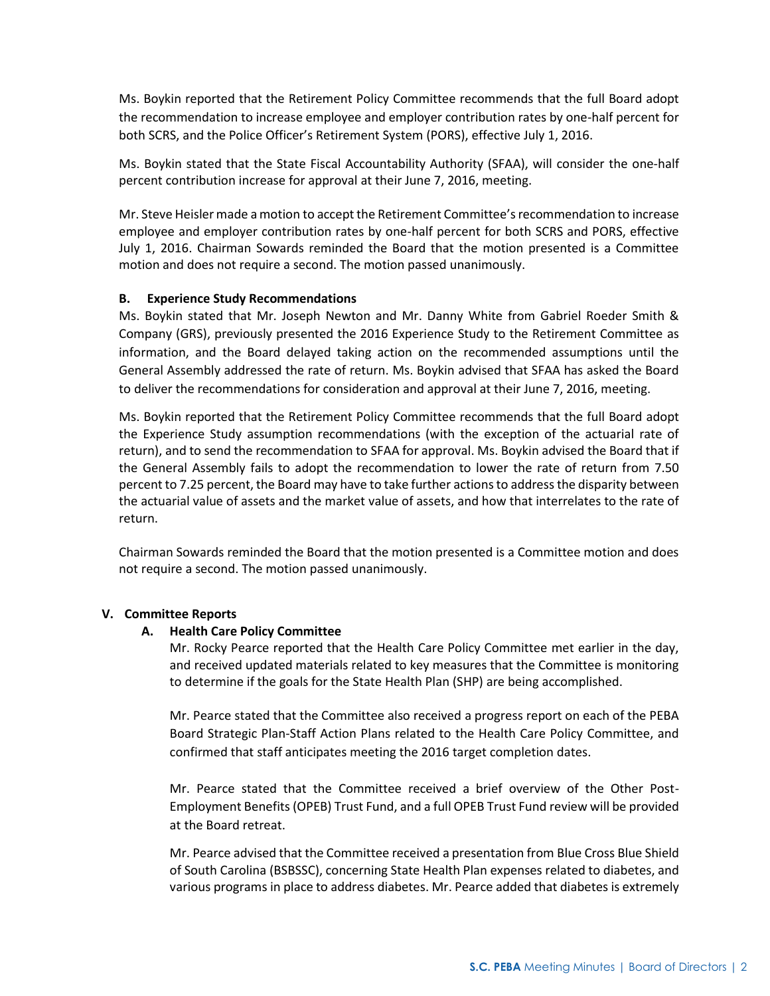Ms. Boykin reported that the Retirement Policy Committee recommends that the full Board adopt the recommendation to increase employee and employer contribution rates by one-half percent for both SCRS, and the Police Officer's Retirement System (PORS), effective July 1, 2016.

Ms. Boykin stated that the State Fiscal Accountability Authority (SFAA), will consider the one-half percent contribution increase for approval at their June 7, 2016, meeting.

Mr. Steve Heisler made a motion to accept the Retirement Committee's recommendation to increase employee and employer contribution rates by one-half percent for both SCRS and PORS, effective July 1, 2016. Chairman Sowards reminded the Board that the motion presented is a Committee motion and does not require a second. The motion passed unanimously.

## **B. Experience Study Recommendations**

Ms. Boykin stated that Mr. Joseph Newton and Mr. Danny White from Gabriel Roeder Smith & Company (GRS), previously presented the 2016 Experience Study to the Retirement Committee as information, and the Board delayed taking action on the recommended assumptions until the General Assembly addressed the rate of return. Ms. Boykin advised that SFAA has asked the Board to deliver the recommendations for consideration and approval at their June 7, 2016, meeting.

Ms. Boykin reported that the Retirement Policy Committee recommends that the full Board adopt the Experience Study assumption recommendations (with the exception of the actuarial rate of return), and to send the recommendation to SFAA for approval. Ms. Boykin advised the Board that if the General Assembly fails to adopt the recommendation to lower the rate of return from 7.50 percent to 7.25 percent, the Board may have to take further actions to address the disparity between the actuarial value of assets and the market value of assets, and how that interrelates to the rate of return.

Chairman Sowards reminded the Board that the motion presented is a Committee motion and does not require a second. The motion passed unanimously.

#### **V. Committee Reports**

#### **A. Health Care Policy Committee**

Mr. Rocky Pearce reported that the Health Care Policy Committee met earlier in the day, and received updated materials related to key measures that the Committee is monitoring to determine if the goals for the State Health Plan (SHP) are being accomplished.

Mr. Pearce stated that the Committee also received a progress report on each of the PEBA Board Strategic Plan-Staff Action Plans related to the Health Care Policy Committee, and confirmed that staff anticipates meeting the 2016 target completion dates.

Mr. Pearce stated that the Committee received a brief overview of the Other Post-Employment Benefits (OPEB) Trust Fund, and a full OPEB Trust Fund review will be provided at the Board retreat.

Mr. Pearce advised that the Committee received a presentation from Blue Cross Blue Shield of South Carolina (BSBSSC), concerning State Health Plan expenses related to diabetes, and various programs in place to address diabetes. Mr. Pearce added that diabetes is extremely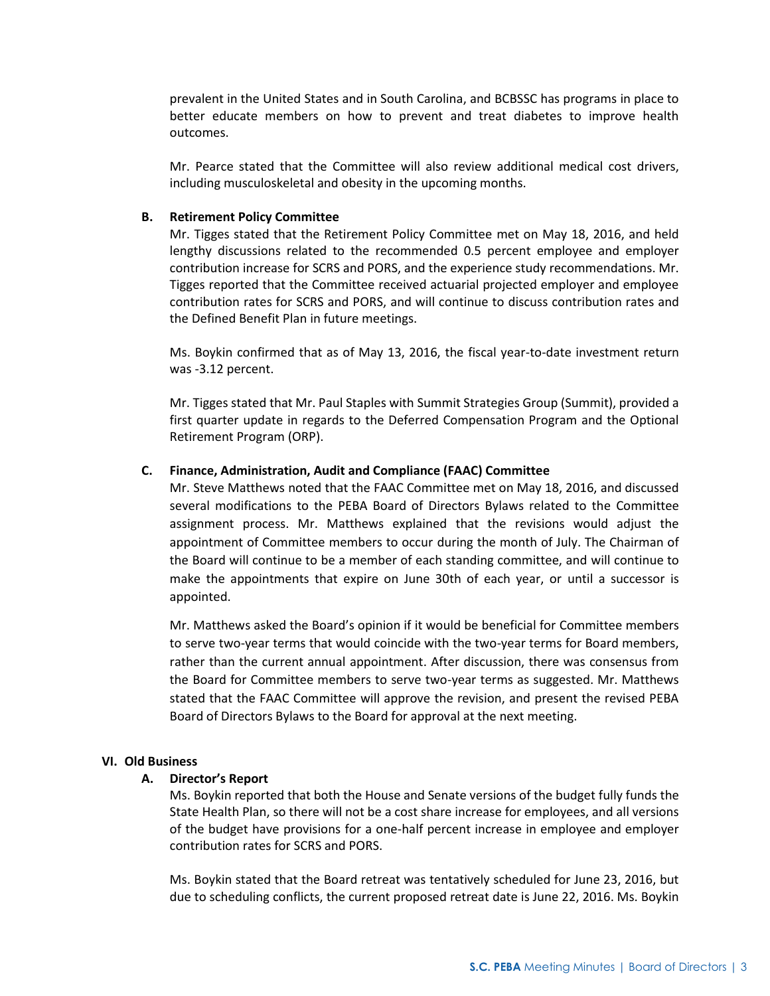prevalent in the United States and in South Carolina, and BCBSSC has programs in place to better educate members on how to prevent and treat diabetes to improve health outcomes.

Mr. Pearce stated that the Committee will also review additional medical cost drivers, including musculoskeletal and obesity in the upcoming months.

### **B. Retirement Policy Committee**

Mr. Tigges stated that the Retirement Policy Committee met on May 18, 2016, and held lengthy discussions related to the recommended 0.5 percent employee and employer contribution increase for SCRS and PORS, and the experience study recommendations. Mr. Tigges reported that the Committee received actuarial projected employer and employee contribution rates for SCRS and PORS, and will continue to discuss contribution rates and the Defined Benefit Plan in future meetings.

Ms. Boykin confirmed that as of May 13, 2016, the fiscal year-to-date investment return was -3.12 percent.

Mr. Tigges stated that Mr. Paul Staples with Summit Strategies Group (Summit), provided a first quarter update in regards to the Deferred Compensation Program and the Optional Retirement Program (ORP).

## **C. Finance, Administration, Audit and Compliance (FAAC) Committee**

Mr. Steve Matthews noted that the FAAC Committee met on May 18, 2016, and discussed several modifications to the PEBA Board of Directors Bylaws related to the Committee assignment process. Mr. Matthews explained that the revisions would adjust the appointment of Committee members to occur during the month of July. The Chairman of the Board will continue to be a member of each standing committee, and will continue to make the appointments that expire on June 30th of each year, or until a successor is appointed.

Mr. Matthews asked the Board's opinion if it would be beneficial for Committee members to serve two-year terms that would coincide with the two-year terms for Board members, rather than the current annual appointment. After discussion, there was consensus from the Board for Committee members to serve two-year terms as suggested. Mr. Matthews stated that the FAAC Committee will approve the revision, and present the revised PEBA Board of Directors Bylaws to the Board for approval at the next meeting.

#### **VI. Old Business**

#### **A. Director's Report**

Ms. Boykin reported that both the House and Senate versions of the budget fully funds the State Health Plan, so there will not be a cost share increase for employees, and all versions of the budget have provisions for a one-half percent increase in employee and employer contribution rates for SCRS and PORS.

Ms. Boykin stated that the Board retreat was tentatively scheduled for June 23, 2016, but due to scheduling conflicts, the current proposed retreat date is June 22, 2016. Ms. Boykin